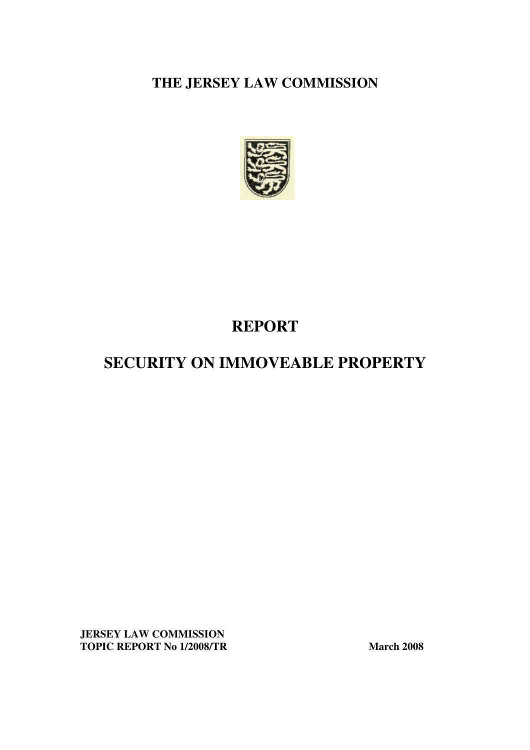**THE JERSEY LAW COMMISSION** 



## **REPORT**

# **SECURITY ON IMMOVEABLE PROPERTY**

**JERSEY LAW COMMISSION TOPIC REPORT No 1/2008/TR March 2008**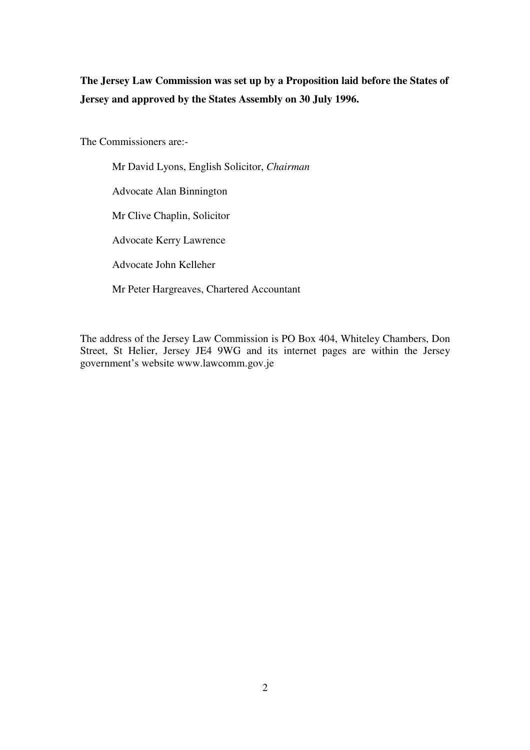**The Jersey Law Commission was set up by a Proposition laid before the States of Jersey and approved by the States Assembly on 30 July 1996.** 

The Commissioners are:-

Mr David Lyons, English Solicitor, *Chairman* Advocate Alan Binnington Mr Clive Chaplin, Solicitor Advocate Kerry Lawrence Advocate John Kelleher Mr Peter Hargreaves, Chartered Accountant

The address of the Jersey Law Commission is PO Box 404, Whiteley Chambers, Don Street, St Helier, Jersey JE4 9WG and its internet pages are within the Jersey government's website www.lawcomm.gov.je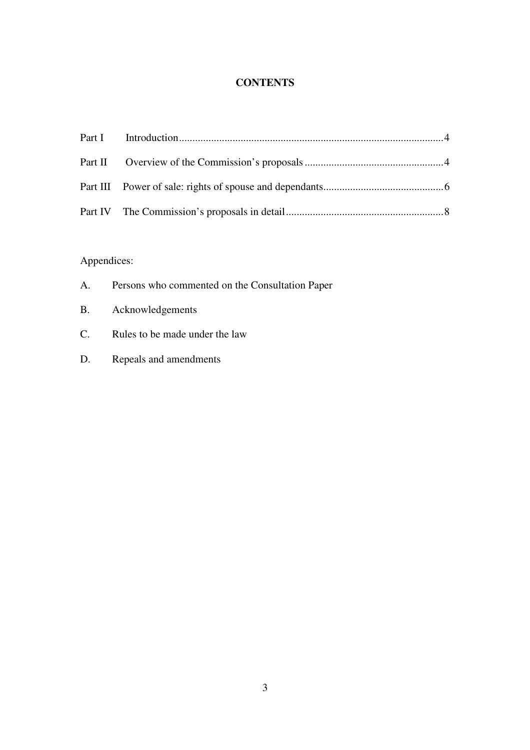## **CONTENTS**

## Appendices:

| A. | Persons who commented on the Consultation Paper |
|----|-------------------------------------------------|
|    | B. Acknowledgements                             |
| C. | Rules to be made under the law                  |
| D. | Repeals and amendments                          |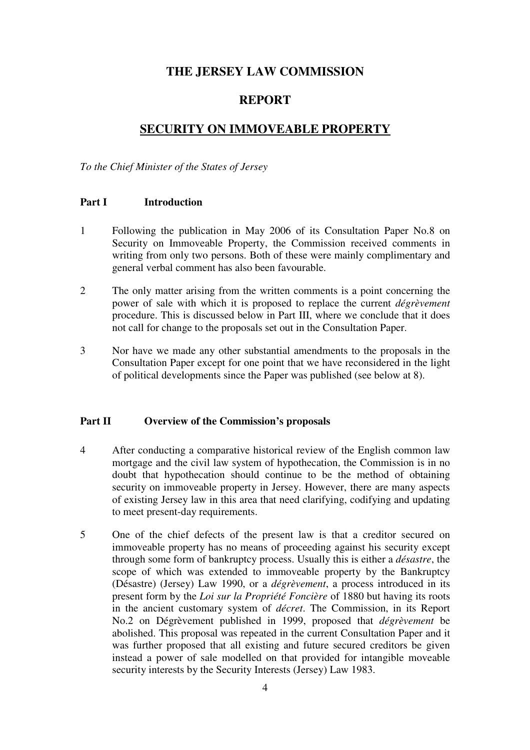## **THE JERSEY LAW COMMISSION**

## **REPORT**

## **SECURITY ON IMMOVEABLE PROPERTY**

*To the Chief Minister of the States of Jersey*

#### **Part I Introduction**

- 1 Following the publication in May 2006 of its Consultation Paper No.8 on Security on Immoveable Property, the Commission received comments in writing from only two persons. Both of these were mainly complimentary and general verbal comment has also been favourable.
- 2 The only matter arising from the written comments is a point concerning the power of sale with which it is proposed to replace the current *dégrèvement* procedure. This is discussed below in Part III, where we conclude that it does not call for change to the proposals set out in the Consultation Paper.
- 3 Nor have we made any other substantial amendments to the proposals in the Consultation Paper except for one point that we have reconsidered in the light of political developments since the Paper was published (see below at 8).

#### **Part II Overview of the Commission's proposals**

- 4 After conducting a comparative historical review of the English common law mortgage and the civil law system of hypothecation, the Commission is in no doubt that hypothecation should continue to be the method of obtaining security on immoveable property in Jersey. However, there are many aspects of existing Jersey law in this area that need clarifying, codifying and updating to meet present-day requirements.
- 5 One of the chief defects of the present law is that a creditor secured on immoveable property has no means of proceeding against his security except through some form of bankruptcy process. Usually this is either a *désastre*, the scope of which was extended to immoveable property by the Bankruptcy (Désastre) (Jersey) Law 1990, or a *dégrèvement*, a process introduced in its present form by the *Loi sur la Propriété Foncière* of 1880 but having its roots in the ancient customary system of *décret*. The Commission, in its Report No.2 on Dégrèvement published in 1999, proposed that *dégrèvement* be abolished. This proposal was repeated in the current Consultation Paper and it was further proposed that all existing and future secured creditors be given instead a power of sale modelled on that provided for intangible moveable security interests by the Security Interests (Jersey) Law 1983.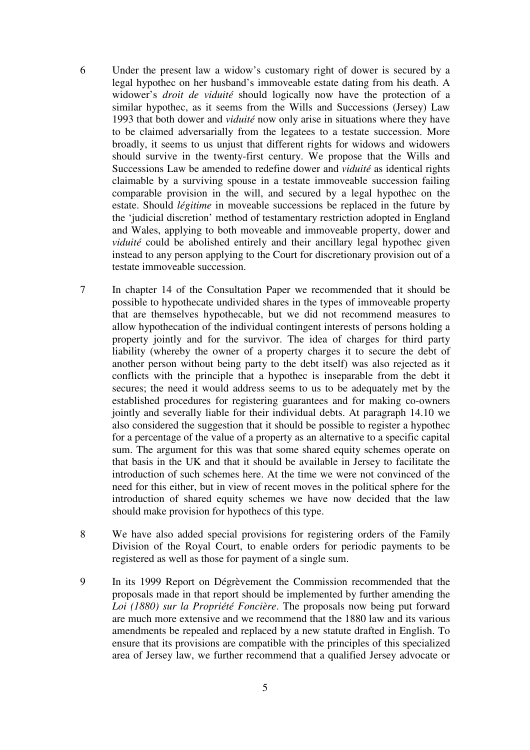- 6 Under the present law a widow's customary right of dower is secured by a legal hypothec on her husband's immoveable estate dating from his death. A widower's *droit de viduité* should logically now have the protection of a similar hypothec, as it seems from the Wills and Successions (Jersey) Law 1993 that both dower and *viduité* now only arise in situations where they have to be claimed adversarially from the legatees to a testate succession. More broadly, it seems to us unjust that different rights for widows and widowers should survive in the twenty-first century. We propose that the Wills and Successions Law be amended to redefine dower and *viduité* as identical rights claimable by a surviving spouse in a testate immoveable succession failing comparable provision in the will, and secured by a legal hypothec on the estate. Should *légitime* in moveable successions be replaced in the future by the 'judicial discretion' method of testamentary restriction adopted in England and Wales, applying to both moveable and immoveable property, dower and *viduité* could be abolished entirely and their ancillary legal hypothec given instead to any person applying to the Court for discretionary provision out of a testate immoveable succession.
- 7 In chapter 14 of the Consultation Paper we recommended that it should be possible to hypothecate undivided shares in the types of immoveable property that are themselves hypothecable, but we did not recommend measures to allow hypothecation of the individual contingent interests of persons holding a property jointly and for the survivor. The idea of charges for third party liability (whereby the owner of a property charges it to secure the debt of another person without being party to the debt itself) was also rejected as it conflicts with the principle that a hypothec is inseparable from the debt it secures; the need it would address seems to us to be adequately met by the established procedures for registering guarantees and for making co-owners jointly and severally liable for their individual debts. At paragraph 14.10 we also considered the suggestion that it should be possible to register a hypothec for a percentage of the value of a property as an alternative to a specific capital sum. The argument for this was that some shared equity schemes operate on that basis in the UK and that it should be available in Jersey to facilitate the introduction of such schemes here. At the time we were not convinced of the need for this either, but in view of recent moves in the political sphere for the introduction of shared equity schemes we have now decided that the law should make provision for hypothecs of this type.
- 8 We have also added special provisions for registering orders of the Family Division of the Royal Court, to enable orders for periodic payments to be registered as well as those for payment of a single sum.
- 9 In its 1999 Report on Dégrèvement the Commission recommended that the proposals made in that report should be implemented by further amending the *Loi (1880) sur la Propriété Foncière*. The proposals now being put forward are much more extensive and we recommend that the 1880 law and its various amendments be repealed and replaced by a new statute drafted in English. To ensure that its provisions are compatible with the principles of this specialized area of Jersey law, we further recommend that a qualified Jersey advocate or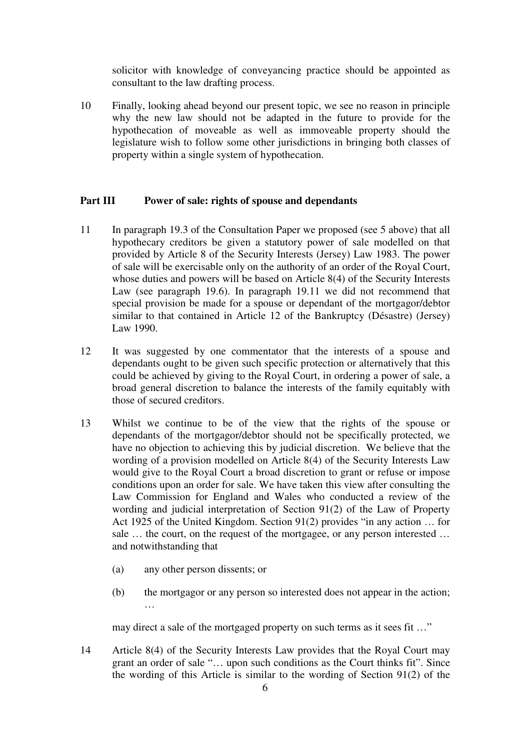solicitor with knowledge of conveyancing practice should be appointed as consultant to the law drafting process.

10 Finally, looking ahead beyond our present topic, we see no reason in principle why the new law should not be adapted in the future to provide for the hypothecation of moveable as well as immoveable property should the legislature wish to follow some other jurisdictions in bringing both classes of property within a single system of hypothecation.

#### **Part III Power of sale: rights of spouse and dependants**

- 11 In paragraph 19.3 of the Consultation Paper we proposed (see 5 above) that all hypothecary creditors be given a statutory power of sale modelled on that provided by Article 8 of the Security Interests (Jersey) Law 1983. The power of sale will be exercisable only on the authority of an order of the Royal Court, whose duties and powers will be based on Article 8(4) of the Security Interests Law (see paragraph 19.6). In paragraph 19.11 we did not recommend that special provision be made for a spouse or dependant of the mortgagor/debtor similar to that contained in Article 12 of the Bankruptcy (Désastre) (Jersey) Law 1990.
- 12 It was suggested by one commentator that the interests of a spouse and dependants ought to be given such specific protection or alternatively that this could be achieved by giving to the Royal Court, in ordering a power of sale, a broad general discretion to balance the interests of the family equitably with those of secured creditors.
- 13 Whilst we continue to be of the view that the rights of the spouse or dependants of the mortgagor/debtor should not be specifically protected, we have no objection to achieving this by judicial discretion. We believe that the wording of a provision modelled on Article 8(4) of the Security Interests Law would give to the Royal Court a broad discretion to grant or refuse or impose conditions upon an order for sale. We have taken this view after consulting the Law Commission for England and Wales who conducted a review of the wording and judicial interpretation of Section 91(2) of the Law of Property Act 1925 of the United Kingdom. Section 91(2) provides "in any action … for sale … the court, on the request of the mortgagee, or any person interested … and notwithstanding that
	- (a) any other person dissents; or
	- (b) the mortgagor or any person so interested does not appear in the action; …

may direct a sale of the mortgaged property on such terms as it sees fit ..."

14 Article 8(4) of the Security Interests Law provides that the Royal Court may grant an order of sale "… upon such conditions as the Court thinks fit". Since the wording of this Article is similar to the wording of Section 91(2) of the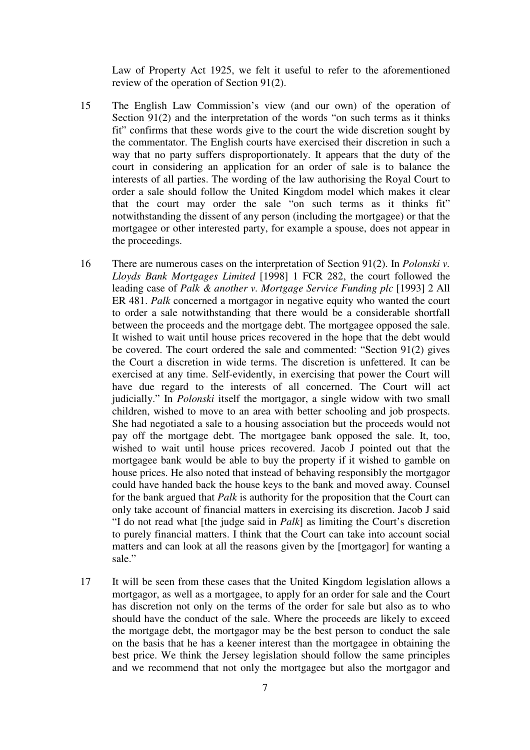Law of Property Act 1925, we felt it useful to refer to the aforementioned review of the operation of Section 91(2).

- 15 The English Law Commission's view (and our own) of the operation of Section 91(2) and the interpretation of the words "on such terms as it thinks fit" confirms that these words give to the court the wide discretion sought by the commentator. The English courts have exercised their discretion in such a way that no party suffers disproportionately. It appears that the duty of the court in considering an application for an order of sale is to balance the interests of all parties. The wording of the law authorising the Royal Court to order a sale should follow the United Kingdom model which makes it clear that the court may order the sale "on such terms as it thinks fit" notwithstanding the dissent of any person (including the mortgagee) or that the mortgagee or other interested party, for example a spouse, does not appear in the proceedings.
- 16 There are numerous cases on the interpretation of Section 91(2). In *Polonski v. Lloyds Bank Mortgages Limited* [1998] 1 FCR 282, the court followed the leading case of *Palk & another v. Mortgage Service Funding plc* [1993] 2 All ER 481. *Palk* concerned a mortgagor in negative equity who wanted the court to order a sale notwithstanding that there would be a considerable shortfall between the proceeds and the mortgage debt. The mortgagee opposed the sale. It wished to wait until house prices recovered in the hope that the debt would be covered. The court ordered the sale and commented: "Section 91(2) gives the Court a discretion in wide terms. The discretion is unfettered. It can be exercised at any time. Self-evidently, in exercising that power the Court will have due regard to the interests of all concerned. The Court will act judicially." In *Polonski* itself the mortgagor, a single widow with two small children, wished to move to an area with better schooling and job prospects. She had negotiated a sale to a housing association but the proceeds would not pay off the mortgage debt. The mortgagee bank opposed the sale. It, too, wished to wait until house prices recovered. Jacob J pointed out that the mortgagee bank would be able to buy the property if it wished to gamble on house prices. He also noted that instead of behaving responsibly the mortgagor could have handed back the house keys to the bank and moved away. Counsel for the bank argued that *Palk* is authority for the proposition that the Court can only take account of financial matters in exercising its discretion. Jacob J said "I do not read what [the judge said in *Palk*] as limiting the Court's discretion to purely financial matters. I think that the Court can take into account social matters and can look at all the reasons given by the [mortgagor] for wanting a sale."
- 17 It will be seen from these cases that the United Kingdom legislation allows a mortgagor, as well as a mortgagee, to apply for an order for sale and the Court has discretion not only on the terms of the order for sale but also as to who should have the conduct of the sale. Where the proceeds are likely to exceed the mortgage debt, the mortgagor may be the best person to conduct the sale on the basis that he has a keener interest than the mortgagee in obtaining the best price. We think the Jersey legislation should follow the same principles and we recommend that not only the mortgagee but also the mortgagor and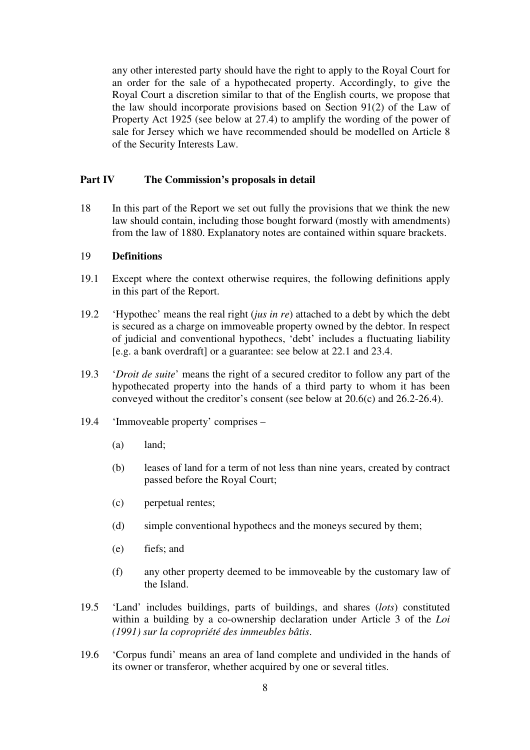any other interested party should have the right to apply to the Royal Court for an order for the sale of a hypothecated property. Accordingly, to give the Royal Court a discretion similar to that of the English courts, we propose that the law should incorporate provisions based on Section 91(2) of the Law of Property Act 1925 (see below at 27.4) to amplify the wording of the power of sale for Jersey which we have recommended should be modelled on Article 8 of the Security Interests Law.

#### **Part IV The Commission's proposals in detail**

18 In this part of the Report we set out fully the provisions that we think the new law should contain, including those bought forward (mostly with amendments) from the law of 1880. Explanatory notes are contained within square brackets.

#### 19 **Definitions**

- 19.1 Except where the context otherwise requires, the following definitions apply in this part of the Report.
- 19.2 'Hypothec' means the real right (*jus in re*) attached to a debt by which the debt is secured as a charge on immoveable property owned by the debtor. In respect of judicial and conventional hypothecs, 'debt' includes a fluctuating liability [e.g. a bank overdraft] or a guarantee: see below at 22.1 and 23.4.
- 19.3 '*Droit de suite*' means the right of a secured creditor to follow any part of the hypothecated property into the hands of a third party to whom it has been conveyed without the creditor's consent (see below at 20.6(c) and 26.2-26.4).
- 19.4 'Immoveable property' comprises
	- (a) land;
	- (b) leases of land for a term of not less than nine years, created by contract passed before the Royal Court;
	- (c) perpetual rentes;
	- (d) simple conventional hypothecs and the moneys secured by them;
	- (e) fiefs; and
	- (f) any other property deemed to be immoveable by the customary law of the Island.
- 19.5 'Land' includes buildings, parts of buildings, and shares (*lots*) constituted within a building by a co-ownership declaration under Article 3 of the *Loi (1991) sur la copropriété des immeubles bâtis*.
- 19.6 'Corpus fundi' means an area of land complete and undivided in the hands of its owner or transferor, whether acquired by one or several titles.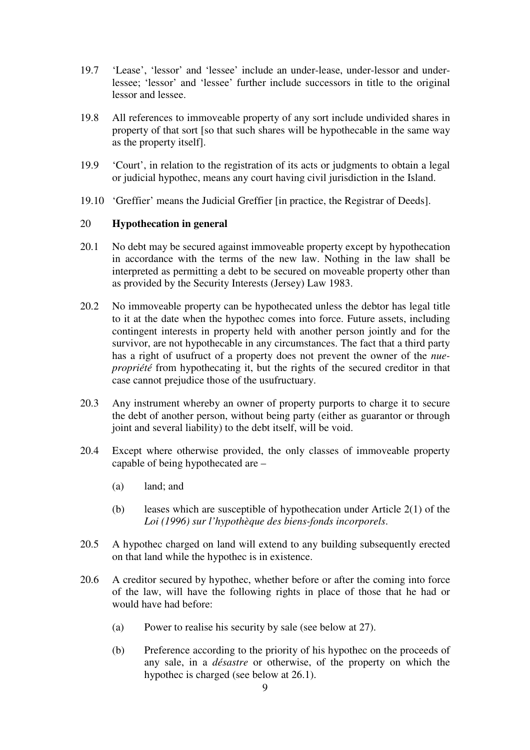- 19.7 'Lease', 'lessor' and 'lessee' include an under-lease, under-lessor and underlessee; 'lessor' and 'lessee' further include successors in title to the original lessor and lessee.
- 19.8 All references to immoveable property of any sort include undivided shares in property of that sort [so that such shares will be hypothecable in the same way as the property itself].
- 19.9 'Court', in relation to the registration of its acts or judgments to obtain a legal or judicial hypothec, means any court having civil jurisdiction in the Island.
- 19.10 'Greffier' means the Judicial Greffier [in practice, the Registrar of Deeds].

#### 20 **Hypothecation in general**

- 20.1 No debt may be secured against immoveable property except by hypothecation in accordance with the terms of the new law. Nothing in the law shall be interpreted as permitting a debt to be secured on moveable property other than as provided by the Security Interests (Jersey) Law 1983.
- 20.2 No immoveable property can be hypothecated unless the debtor has legal title to it at the date when the hypothec comes into force. Future assets, including contingent interests in property held with another person jointly and for the survivor, are not hypothecable in any circumstances. The fact that a third party has a right of usufruct of a property does not prevent the owner of the *nuepropriété* from hypothecating it, but the rights of the secured creditor in that case cannot prejudice those of the usufructuary.
- 20.3 Any instrument whereby an owner of property purports to charge it to secure the debt of another person, without being party (either as guarantor or through joint and several liability) to the debt itself, will be void.
- 20.4 Except where otherwise provided, the only classes of immoveable property capable of being hypothecated are –
	- (a) land; and
	- (b) leases which are susceptible of hypothecation under Article 2(1) of the *Loi (1996) sur l'hypothèque des biens-fonds incorporels*.
- 20.5 A hypothec charged on land will extend to any building subsequently erected on that land while the hypothec is in existence.
- 20.6 A creditor secured by hypothec, whether before or after the coming into force of the law, will have the following rights in place of those that he had or would have had before:
	- (a) Power to realise his security by sale (see below at 27).
	- (b) Preference according to the priority of his hypothec on the proceeds of any sale, in a *désastre* or otherwise, of the property on which the hypothec is charged (see below at 26.1).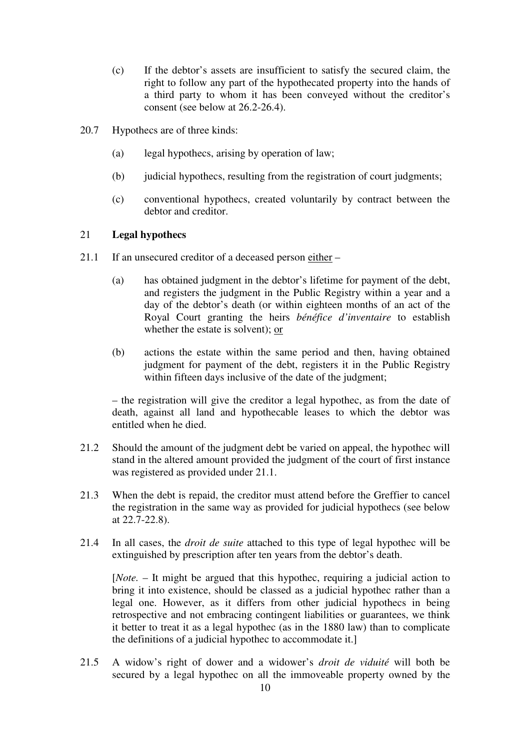- (c) If the debtor's assets are insufficient to satisfy the secured claim, the right to follow any part of the hypothecated property into the hands of a third party to whom it has been conveyed without the creditor's consent (see below at 26.2-26.4).
- 20.7 Hypothecs are of three kinds:
	- (a) legal hypothecs, arising by operation of law;
	- (b) judicial hypothecs, resulting from the registration of court judgments;
	- (c) conventional hypothecs, created voluntarily by contract between the debtor and creditor.

#### 21 **Legal hypothecs**

- 21.1 If an unsecured creditor of a deceased person either
	- (a) has obtained judgment in the debtor's lifetime for payment of the debt, and registers the judgment in the Public Registry within a year and a day of the debtor's death (or within eighteen months of an act of the Royal Court granting the heirs *bénéfice d'inventaire* to establish whether the estate is solvent); or
	- (b) actions the estate within the same period and then, having obtained judgment for payment of the debt, registers it in the Public Registry within fifteen days inclusive of the date of the judgment;

– the registration will give the creditor a legal hypothec, as from the date of death, against all land and hypothecable leases to which the debtor was entitled when he died.

- 21.2 Should the amount of the judgment debt be varied on appeal, the hypothec will stand in the altered amount provided the judgment of the court of first instance was registered as provided under 21.1.
- 21.3 When the debt is repaid, the creditor must attend before the Greffier to cancel the registration in the same way as provided for judicial hypothecs (see below at 22.7-22.8).
- 21.4 In all cases, the *droit de suite* attached to this type of legal hypothec will be extinguished by prescription after ten years from the debtor's death.

[*Note.* – It might be argued that this hypothec, requiring a judicial action to bring it into existence, should be classed as a judicial hypothec rather than a legal one. However, as it differs from other judicial hypothecs in being retrospective and not embracing contingent liabilities or guarantees, we think it better to treat it as a legal hypothec (as in the 1880 law) than to complicate the definitions of a judicial hypothec to accommodate it.]

21.5 A widow's right of dower and a widower's *droit de viduité* will both be secured by a legal hypothec on all the immoveable property owned by the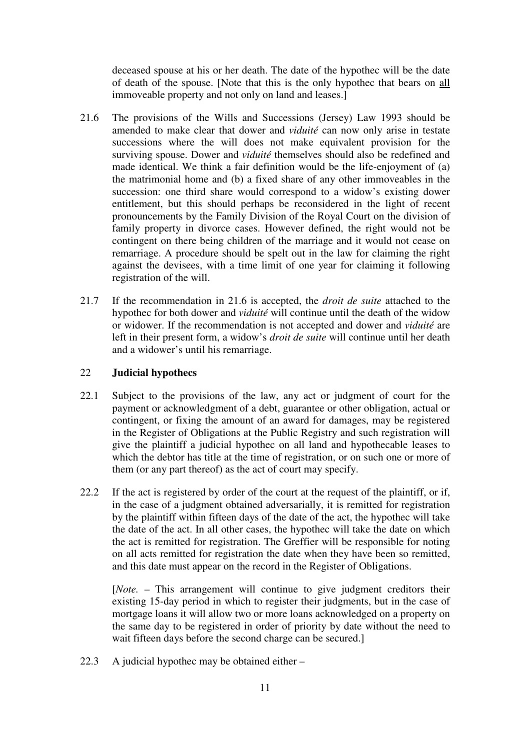deceased spouse at his or her death. The date of the hypothec will be the date of death of the spouse. [Note that this is the only hypothec that bears on all immoveable property and not only on land and leases.]

- 21.6 The provisions of the Wills and Successions (Jersey) Law 1993 should be amended to make clear that dower and *viduité* can now only arise in testate successions where the will does not make equivalent provision for the surviving spouse. Dower and *viduité* themselves should also be redefined and made identical. We think a fair definition would be the life-enjoyment of (a) the matrimonial home and (b) a fixed share of any other immoveables in the succession: one third share would correspond to a widow's existing dower entitlement, but this should perhaps be reconsidered in the light of recent pronouncements by the Family Division of the Royal Court on the division of family property in divorce cases. However defined, the right would not be contingent on there being children of the marriage and it would not cease on remarriage. A procedure should be spelt out in the law for claiming the right against the devisees, with a time limit of one year for claiming it following registration of the will.
- 21.7 If the recommendation in 21.6 is accepted, the *droit de suite* attached to the hypothec for both dower and *viduité* will continue until the death of the widow or widower. If the recommendation is not accepted and dower and *viduité* are left in their present form, a widow's *droit de suite* will continue until her death and a widower's until his remarriage.

#### 22 **Judicial hypothecs**

- 22.1 Subject to the provisions of the law, any act or judgment of court for the payment or acknowledgment of a debt, guarantee or other obligation, actual or contingent, or fixing the amount of an award for damages, may be registered in the Register of Obligations at the Public Registry and such registration will give the plaintiff a judicial hypothec on all land and hypothecable leases to which the debtor has title at the time of registration, or on such one or more of them (or any part thereof) as the act of court may specify.
- 22.2 If the act is registered by order of the court at the request of the plaintiff, or if, in the case of a judgment obtained adversarially, it is remitted for registration by the plaintiff within fifteen days of the date of the act, the hypothec will take the date of the act. In all other cases, the hypothec will take the date on which the act is remitted for registration. The Greffier will be responsible for noting on all acts remitted for registration the date when they have been so remitted, and this date must appear on the record in the Register of Obligations.

[*Note.* – This arrangement will continue to give judgment creditors their existing 15-day period in which to register their judgments, but in the case of mortgage loans it will allow two or more loans acknowledged on a property on the same day to be registered in order of priority by date without the need to wait fifteen days before the second charge can be secured.]

22.3 A judicial hypothec may be obtained either –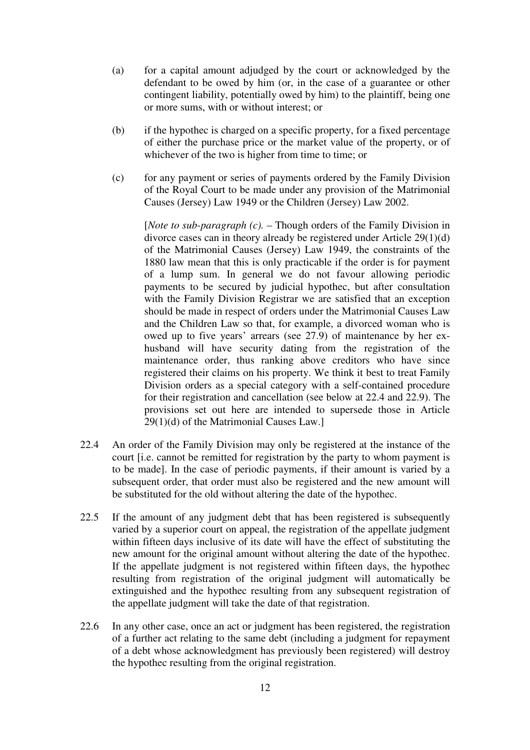- (a) for a capital amount adjudged by the court or acknowledged by the defendant to be owed by him (or, in the case of a guarantee or other contingent liability, potentially owed by him) to the plaintiff, being one or more sums, with or without interest; or
- (b) if the hypothec is charged on a specific property, for a fixed percentage of either the purchase price or the market value of the property, or of whichever of the two is higher from time to time; or
- (c) for any payment or series of payments ordered by the Family Division of the Royal Court to be made under any provision of the Matrimonial Causes (Jersey) Law 1949 or the Children (Jersey) Law 2002.

[*Note to sub-paragraph (c).* – Though orders of the Family Division in divorce cases can in theory already be registered under Article 29(1)(d) of the Matrimonial Causes (Jersey) Law 1949, the constraints of the 1880 law mean that this is only practicable if the order is for payment of a lump sum. In general we do not favour allowing periodic payments to be secured by judicial hypothec, but after consultation with the Family Division Registrar we are satisfied that an exception should be made in respect of orders under the Matrimonial Causes Law and the Children Law so that, for example, a divorced woman who is owed up to five years' arrears (see 27.9) of maintenance by her exhusband will have security dating from the registration of the maintenance order, thus ranking above creditors who have since registered their claims on his property. We think it best to treat Family Division orders as a special category with a self-contained procedure for their registration and cancellation (see below at 22.4 and 22.9). The provisions set out here are intended to supersede those in Article 29(1)(d) of the Matrimonial Causes Law.]

- 22.4 An order of the Family Division may only be registered at the instance of the court [i.e. cannot be remitted for registration by the party to whom payment is to be made]. In the case of periodic payments, if their amount is varied by a subsequent order, that order must also be registered and the new amount will be substituted for the old without altering the date of the hypothec.
- 22.5 If the amount of any judgment debt that has been registered is subsequently varied by a superior court on appeal, the registration of the appellate judgment within fifteen days inclusive of its date will have the effect of substituting the new amount for the original amount without altering the date of the hypothec. If the appellate judgment is not registered within fifteen days, the hypothec resulting from registration of the original judgment will automatically be extinguished and the hypothec resulting from any subsequent registration of the appellate judgment will take the date of that registration.
- 22.6 In any other case, once an act or judgment has been registered, the registration of a further act relating to the same debt (including a judgment for repayment of a debt whose acknowledgment has previously been registered) will destroy the hypothec resulting from the original registration.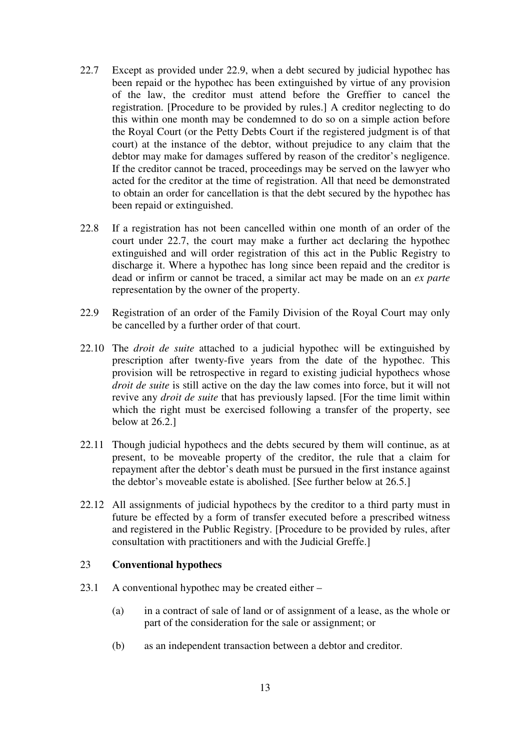- 22.7 Except as provided under 22.9, when a debt secured by judicial hypothec has been repaid or the hypothec has been extinguished by virtue of any provision of the law, the creditor must attend before the Greffier to cancel the registration. [Procedure to be provided by rules.] A creditor neglecting to do this within one month may be condemned to do so on a simple action before the Royal Court (or the Petty Debts Court if the registered judgment is of that court) at the instance of the debtor, without prejudice to any claim that the debtor may make for damages suffered by reason of the creditor's negligence. If the creditor cannot be traced, proceedings may be served on the lawyer who acted for the creditor at the time of registration. All that need be demonstrated to obtain an order for cancellation is that the debt secured by the hypothec has been repaid or extinguished.
- 22.8 If a registration has not been cancelled within one month of an order of the court under 22.7, the court may make a further act declaring the hypothec extinguished and will order registration of this act in the Public Registry to discharge it. Where a hypothec has long since been repaid and the creditor is dead or infirm or cannot be traced, a similar act may be made on an *ex parte* representation by the owner of the property.
- 22.9 Registration of an order of the Family Division of the Royal Court may only be cancelled by a further order of that court.
- 22.10 The *droit de suite* attached to a judicial hypothec will be extinguished by prescription after twenty-five years from the date of the hypothec. This provision will be retrospective in regard to existing judicial hypothecs whose *droit de suite* is still active on the day the law comes into force, but it will not revive any *droit de suite* that has previously lapsed. [For the time limit within which the right must be exercised following a transfer of the property, see below at 26.2.]
- 22.11 Though judicial hypothecs and the debts secured by them will continue, as at present, to be moveable property of the creditor, the rule that a claim for repayment after the debtor's death must be pursued in the first instance against the debtor's moveable estate is abolished. [See further below at 26.5.]
- 22.12 All assignments of judicial hypothecs by the creditor to a third party must in future be effected by a form of transfer executed before a prescribed witness and registered in the Public Registry. [Procedure to be provided by rules, after consultation with practitioners and with the Judicial Greffe.]

#### 23 **Conventional hypothecs**

- 23.1 A conventional hypothec may be created either
	- (a) in a contract of sale of land or of assignment of a lease, as the whole or part of the consideration for the sale or assignment; or
	- (b) as an independent transaction between a debtor and creditor.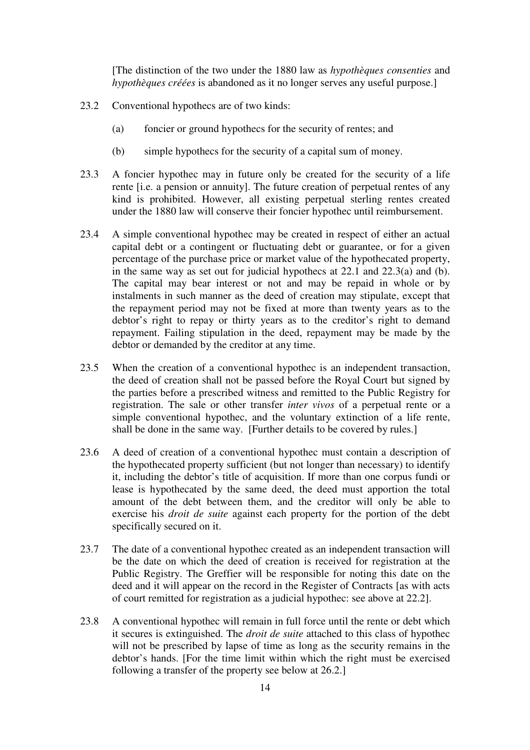[The distinction of the two under the 1880 law as *hypothèques consenties* and *hypothèques créées* is abandoned as it no longer serves any useful purpose.]

- 23.2 Conventional hypothecs are of two kinds:
	- (a) foncier or ground hypothecs for the security of rentes; and
	- (b) simple hypothecs for the security of a capital sum of money.
- 23.3 A foncier hypothec may in future only be created for the security of a life rente [i.e. a pension or annuity]. The future creation of perpetual rentes of any kind is prohibited. However, all existing perpetual sterling rentes created under the 1880 law will conserve their foncier hypothec until reimbursement.
- 23.4 A simple conventional hypothec may be created in respect of either an actual capital debt or a contingent or fluctuating debt or guarantee, or for a given percentage of the purchase price or market value of the hypothecated property, in the same way as set out for judicial hypothecs at 22.1 and 22.3(a) and (b). The capital may bear interest or not and may be repaid in whole or by instalments in such manner as the deed of creation may stipulate, except that the repayment period may not be fixed at more than twenty years as to the debtor's right to repay or thirty years as to the creditor's right to demand repayment. Failing stipulation in the deed, repayment may be made by the debtor or demanded by the creditor at any time.
- 23.5 When the creation of a conventional hypothec is an independent transaction, the deed of creation shall not be passed before the Royal Court but signed by the parties before a prescribed witness and remitted to the Public Registry for registration. The sale or other transfer *inter vivos* of a perpetual rente or a simple conventional hypothec, and the voluntary extinction of a life rente, shall be done in the same way. [Further details to be covered by rules.]
- 23.6 A deed of creation of a conventional hypothec must contain a description of the hypothecated property sufficient (but not longer than necessary) to identify it, including the debtor's title of acquisition. If more than one corpus fundi or lease is hypothecated by the same deed, the deed must apportion the total amount of the debt between them, and the creditor will only be able to exercise his *droit de suite* against each property for the portion of the debt specifically secured on it.
- 23.7 The date of a conventional hypothec created as an independent transaction will be the date on which the deed of creation is received for registration at the Public Registry. The Greffier will be responsible for noting this date on the deed and it will appear on the record in the Register of Contracts [as with acts of court remitted for registration as a judicial hypothec: see above at 22.2].
- 23.8 A conventional hypothec will remain in full force until the rente or debt which it secures is extinguished. The *droit de suite* attached to this class of hypothec will not be prescribed by lapse of time as long as the security remains in the debtor's hands. [For the time limit within which the right must be exercised following a transfer of the property see below at 26.2.]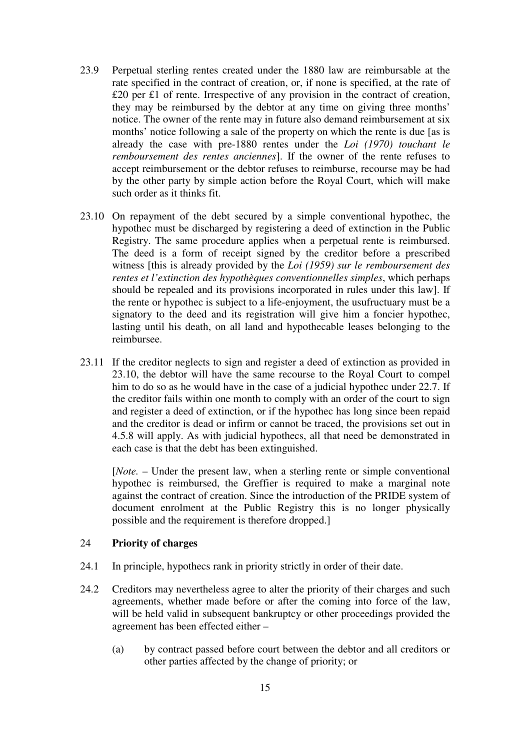- 23.9 Perpetual sterling rentes created under the 1880 law are reimbursable at the rate specified in the contract of creation, or, if none is specified, at the rate of £20 per £1 of rente. Irrespective of any provision in the contract of creation, they may be reimbursed by the debtor at any time on giving three months' notice. The owner of the rente may in future also demand reimbursement at six months' notice following a sale of the property on which the rente is due [as is already the case with pre-1880 rentes under the *Loi (1970) touchant le remboursement des rentes anciennes*]. If the owner of the rente refuses to accept reimbursement or the debtor refuses to reimburse, recourse may be had by the other party by simple action before the Royal Court, which will make such order as it thinks fit.
- 23.10 On repayment of the debt secured by a simple conventional hypothec, the hypothec must be discharged by registering a deed of extinction in the Public Registry. The same procedure applies when a perpetual rente is reimbursed. The deed is a form of receipt signed by the creditor before a prescribed witness [this is already provided by the *Loi (1959) sur le remboursement des rentes et l'extinction des hypothèques conventionnelles simples*, which perhaps should be repealed and its provisions incorporated in rules under this law]. If the rente or hypothec is subject to a life-enjoyment, the usufructuary must be a signatory to the deed and its registration will give him a foncier hypothec, lasting until his death, on all land and hypothecable leases belonging to the reimbursee.
- 23.11 If the creditor neglects to sign and register a deed of extinction as provided in 23.10, the debtor will have the same recourse to the Royal Court to compel him to do so as he would have in the case of a judicial hypothec under 22.7. If the creditor fails within one month to comply with an order of the court to sign and register a deed of extinction, or if the hypothec has long since been repaid and the creditor is dead or infirm or cannot be traced, the provisions set out in 4.5.8 will apply. As with judicial hypothecs, all that need be demonstrated in each case is that the debt has been extinguished.

[*Note.* – Under the present law, when a sterling rente or simple conventional hypothec is reimbursed, the Greffier is required to make a marginal note against the contract of creation. Since the introduction of the PRIDE system of document enrolment at the Public Registry this is no longer physically possible and the requirement is therefore dropped.]

#### 24 **Priority of charges**

- 24.1 In principle, hypothecs rank in priority strictly in order of their date.
- 24.2 Creditors may nevertheless agree to alter the priority of their charges and such agreements, whether made before or after the coming into force of the law, will be held valid in subsequent bankruptcy or other proceedings provided the agreement has been effected either –
	- (a) by contract passed before court between the debtor and all creditors or other parties affected by the change of priority; or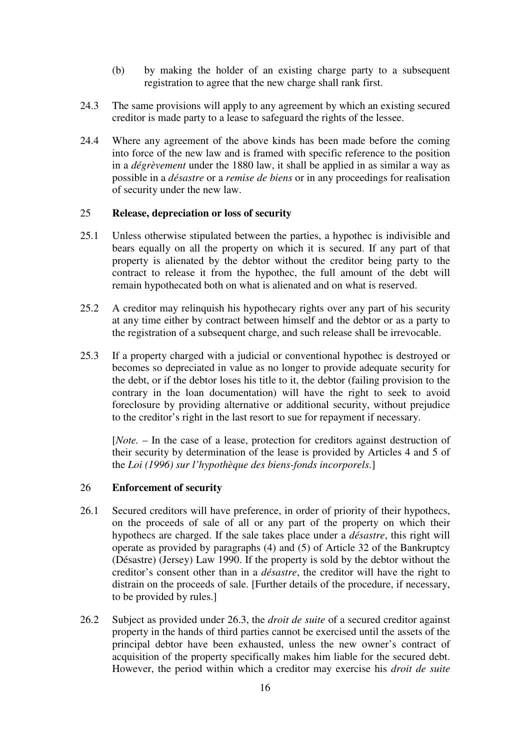- (b) by making the holder of an existing charge party to a subsequent registration to agree that the new charge shall rank first.
- 24.3 The same provisions will apply to any agreement by which an existing secured creditor is made party to a lease to safeguard the rights of the lessee.
- 24.4 Where any agreement of the above kinds has been made before the coming into force of the new law and is framed with specific reference to the position in a *dégrèvement* under the 1880 law, it shall be applied in as similar a way as possible in a *désastre* or a *remise de biens* or in any proceedings for realisation of security under the new law.

#### 25 **Release, depreciation or loss of security**

- 25.1 Unless otherwise stipulated between the parties, a hypothec is indivisible and bears equally on all the property on which it is secured. If any part of that property is alienated by the debtor without the creditor being party to the contract to release it from the hypothec, the full amount of the debt will remain hypothecated both on what is alienated and on what is reserved.
- 25.2 A creditor may relinquish his hypothecary rights over any part of his security at any time either by contract between himself and the debtor or as a party to the registration of a subsequent charge, and such release shall be irrevocable.
- 25.3 If a property charged with a judicial or conventional hypothec is destroyed or becomes so depreciated in value as no longer to provide adequate security for the debt, or if the debtor loses his title to it, the debtor (failing provision to the contrary in the loan documentation) will have the right to seek to avoid foreclosure by providing alternative or additional security, without prejudice to the creditor's right in the last resort to sue for repayment if necessary.

[*Note.* – In the case of a lease, protection for creditors against destruction of their security by determination of the lease is provided by Articles 4 and 5 of the *Loi (1996) sur l'hypothèque des biens-fonds incorporels*.]

#### 26 **Enforcement of security**

- 26.1 Secured creditors will have preference, in order of priority of their hypothecs, on the proceeds of sale of all or any part of the property on which their hypothecs are charged. If the sale takes place under a *désastre*, this right will operate as provided by paragraphs (4) and (5) of Article 32 of the Bankruptcy (Désastre) (Jersey) Law 1990. If the property is sold by the debtor without the creditor's consent other than in a *désastre*, the creditor will have the right to distrain on the proceeds of sale. [Further details of the procedure, if necessary, to be provided by rules.]
- 26.2 Subject as provided under 26.3, the *droit de suite* of a secured creditor against property in the hands of third parties cannot be exercised until the assets of the principal debtor have been exhausted, unless the new owner's contract of acquisition of the property specifically makes him liable for the secured debt. However, the period within which a creditor may exercise his *droit de suite*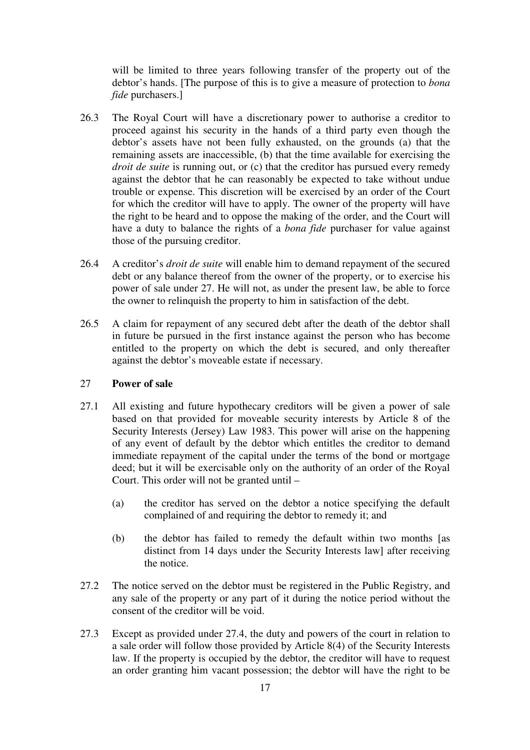will be limited to three years following transfer of the property out of the debtor's hands. [The purpose of this is to give a measure of protection to *bona fide* purchasers.]

- 26.3 The Royal Court will have a discretionary power to authorise a creditor to proceed against his security in the hands of a third party even though the debtor's assets have not been fully exhausted, on the grounds (a) that the remaining assets are inaccessible, (b) that the time available for exercising the *droit de suite* is running out, or (c) that the creditor has pursued every remedy against the debtor that he can reasonably be expected to take without undue trouble or expense. This discretion will be exercised by an order of the Court for which the creditor will have to apply. The owner of the property will have the right to be heard and to oppose the making of the order, and the Court will have a duty to balance the rights of a *bona fide* purchaser for value against those of the pursuing creditor.
- 26.4 A creditor's *droit de suite* will enable him to demand repayment of the secured debt or any balance thereof from the owner of the property, or to exercise his power of sale under 27. He will not, as under the present law, be able to force the owner to relinquish the property to him in satisfaction of the debt.
- 26.5 A claim for repayment of any secured debt after the death of the debtor shall in future be pursued in the first instance against the person who has become entitled to the property on which the debt is secured, and only thereafter against the debtor's moveable estate if necessary.

#### 27 **Power of sale**

- 27.1 All existing and future hypothecary creditors will be given a power of sale based on that provided for moveable security interests by Article 8 of the Security Interests (Jersey) Law 1983. This power will arise on the happening of any event of default by the debtor which entitles the creditor to demand immediate repayment of the capital under the terms of the bond or mortgage deed; but it will be exercisable only on the authority of an order of the Royal Court. This order will not be granted until –
	- (a) the creditor has served on the debtor a notice specifying the default complained of and requiring the debtor to remedy it; and
	- (b) the debtor has failed to remedy the default within two months [as distinct from 14 days under the Security Interests law] after receiving the notice.
- 27.2 The notice served on the debtor must be registered in the Public Registry, and any sale of the property or any part of it during the notice period without the consent of the creditor will be void.
- 27.3 Except as provided under 27.4, the duty and powers of the court in relation to a sale order will follow those provided by Article 8(4) of the Security Interests law. If the property is occupied by the debtor, the creditor will have to request an order granting him vacant possession; the debtor will have the right to be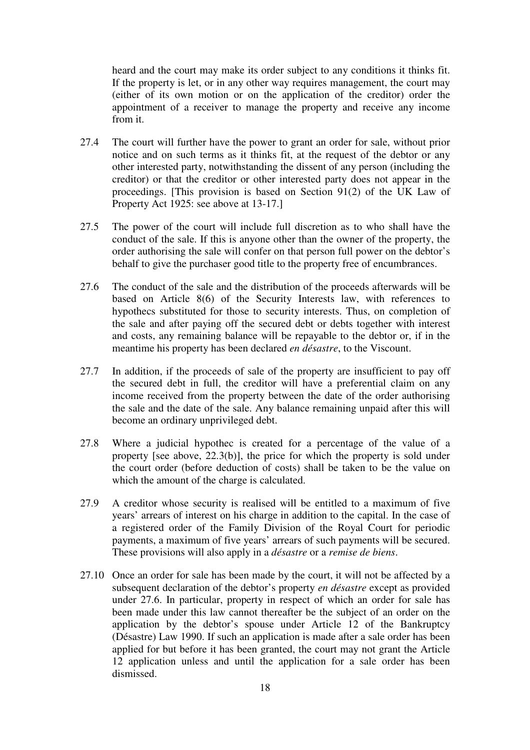heard and the court may make its order subject to any conditions it thinks fit. If the property is let, or in any other way requires management, the court may (either of its own motion or on the application of the creditor) order the appointment of a receiver to manage the property and receive any income from it.

- 27.4 The court will further have the power to grant an order for sale, without prior notice and on such terms as it thinks fit, at the request of the debtor or any other interested party, notwithstanding the dissent of any person (including the creditor) or that the creditor or other interested party does not appear in the proceedings. [This provision is based on Section 91(2) of the UK Law of Property Act 1925: see above at 13-17.]
- 27.5 The power of the court will include full discretion as to who shall have the conduct of the sale. If this is anyone other than the owner of the property, the order authorising the sale will confer on that person full power on the debtor's behalf to give the purchaser good title to the property free of encumbrances.
- 27.6 The conduct of the sale and the distribution of the proceeds afterwards will be based on Article 8(6) of the Security Interests law, with references to hypothecs substituted for those to security interests. Thus, on completion of the sale and after paying off the secured debt or debts together with interest and costs, any remaining balance will be repayable to the debtor or, if in the meantime his property has been declared *en désastre*, to the Viscount.
- 27.7 In addition, if the proceeds of sale of the property are insufficient to pay off the secured debt in full, the creditor will have a preferential claim on any income received from the property between the date of the order authorising the sale and the date of the sale. Any balance remaining unpaid after this will become an ordinary unprivileged debt.
- 27.8 Where a judicial hypothec is created for a percentage of the value of a property [see above, 22.3(b)], the price for which the property is sold under the court order (before deduction of costs) shall be taken to be the value on which the amount of the charge is calculated.
- 27.9 A creditor whose security is realised will be entitled to a maximum of five years' arrears of interest on his charge in addition to the capital. In the case of a registered order of the Family Division of the Royal Court for periodic payments, a maximum of five years' arrears of such payments will be secured. These provisions will also apply in a *désastre* or a *remise de biens*.
- 27.10 Once an order for sale has been made by the court, it will not be affected by a subsequent declaration of the debtor's property *en désastre* except as provided under 27.6. In particular, property in respect of which an order for sale has been made under this law cannot thereafter be the subject of an order on the application by the debtor's spouse under Article 12 of the Bankruptcy (Désastre) Law 1990. If such an application is made after a sale order has been applied for but before it has been granted, the court may not grant the Article 12 application unless and until the application for a sale order has been dismissed.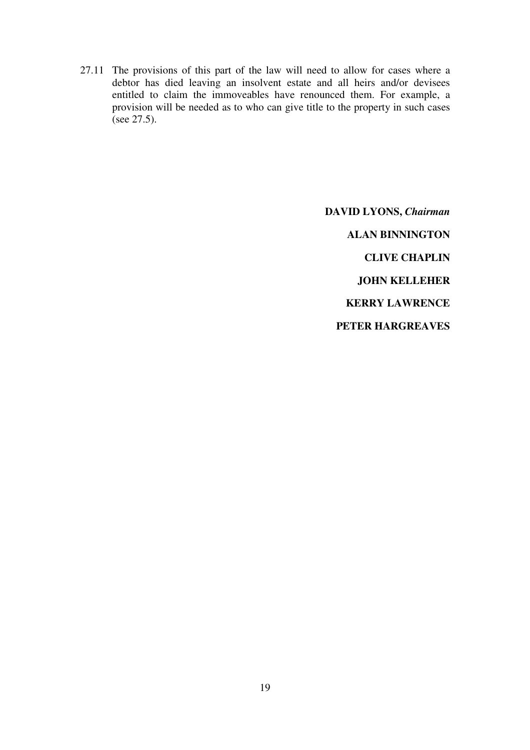27.11 The provisions of this part of the law will need to allow for cases where a debtor has died leaving an insolvent estate and all heirs and/or devisees entitled to claim the immoveables have renounced them. For example, a provision will be needed as to who can give title to the property in such cases (see 27.5).

> **DAVID LYONS,** *Chairman* **ALAN BINNINGTON CLIVE CHAPLIN JOHN KELLEHER KERRY LAWRENCE PETER HARGREAVES**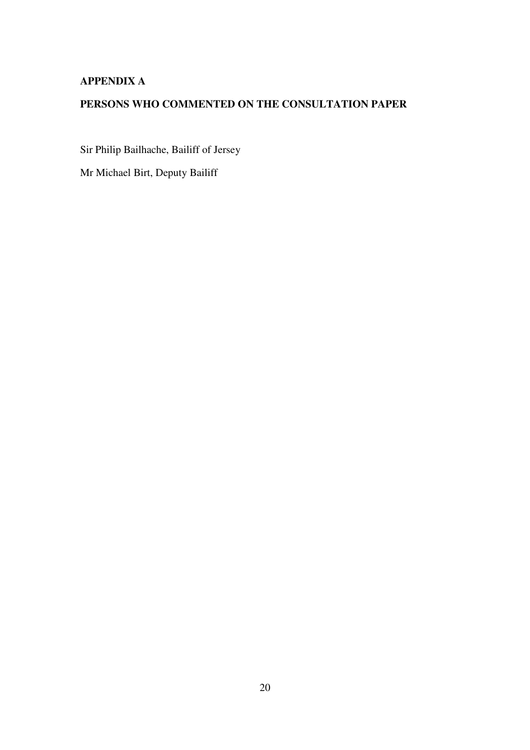### **APPENDIX A**

## **PERSONS WHO COMMENTED ON THE CONSULTATION PAPER**

Sir Philip Bailhache, Bailiff of Jersey

Mr Michael Birt, Deputy Bailiff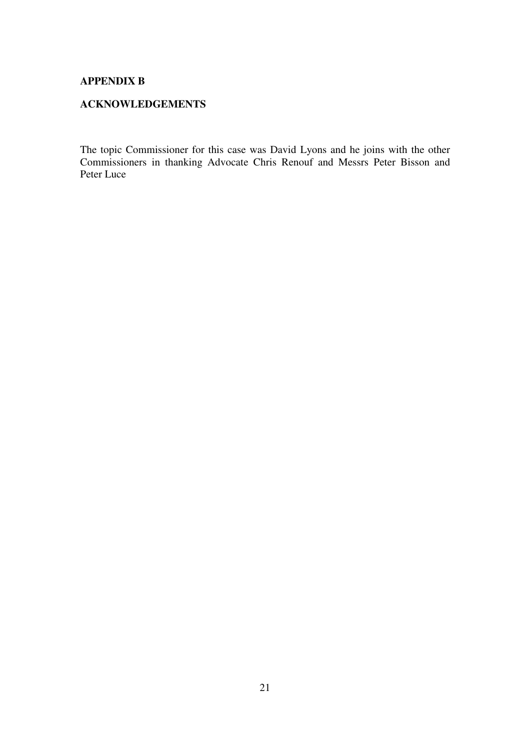#### **APPENDIX B**

#### **ACKNOWLEDGEMENTS**

The topic Commissioner for this case was David Lyons and he joins with the other Commissioners in thanking Advocate Chris Renouf and Messrs Peter Bisson and Peter Luce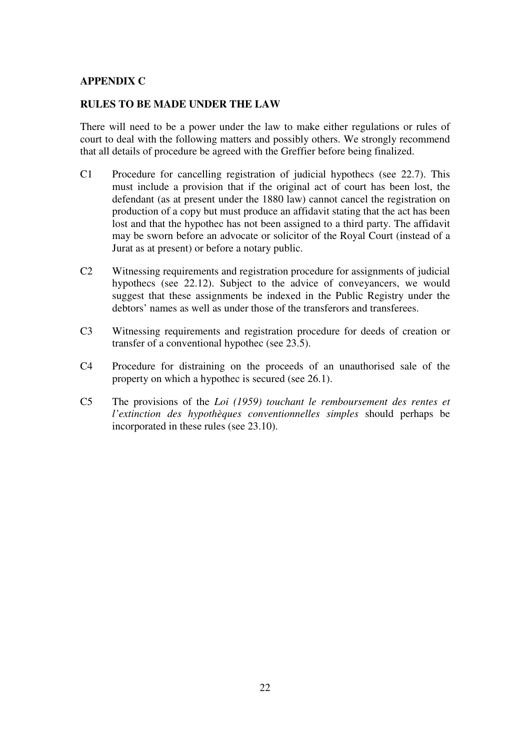#### **APPENDIX C**

#### **RULES TO BE MADE UNDER THE LAW**

There will need to be a power under the law to make either regulations or rules of court to deal with the following matters and possibly others. We strongly recommend that all details of procedure be agreed with the Greffier before being finalized.

- C1 Procedure for cancelling registration of judicial hypothecs (see 22.7). This must include a provision that if the original act of court has been lost, the defendant (as at present under the 1880 law) cannot cancel the registration on production of a copy but must produce an affidavit stating that the act has been lost and that the hypothec has not been assigned to a third party. The affidavit may be sworn before an advocate or solicitor of the Royal Court (instead of a Jurat as at present) or before a notary public.
- C2 Witnessing requirements and registration procedure for assignments of judicial hypothecs (see 22.12). Subject to the advice of conveyancers, we would suggest that these assignments be indexed in the Public Registry under the debtors' names as well as under those of the transferors and transferees.
- C3 Witnessing requirements and registration procedure for deeds of creation or transfer of a conventional hypothec (see 23.5).
- C4 Procedure for distraining on the proceeds of an unauthorised sale of the property on which a hypothec is secured (see 26.1).
- C5 The provisions of the *Loi (1959) touchant le remboursement des rentes et l'extinction des hypothèques conventionnelles simples* should perhaps be incorporated in these rules (see 23.10).